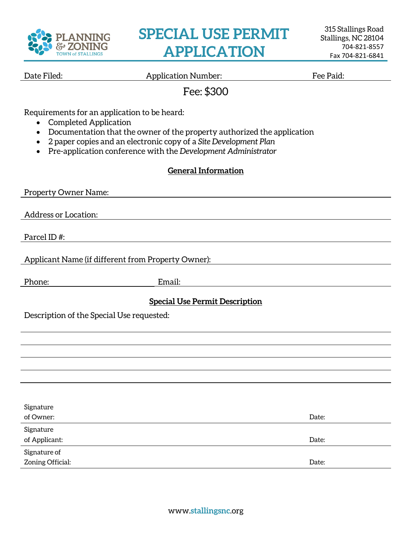

# **SPECIAL USE PERMIT APPLICATION**

Date Filed: The Paid: Application Number: The Paid: Fee Paid:

## Fee: \$300

Requirements for an application to be heard:

- Completed Application
- Documentation that the owner of the property authorized the application
- 2 paper copies and an electronic copy of a *Site Development Plan*
- Pre-application conference with the *Development Administrator*

#### **General Information**

| Property Owner Name:                               |        |       |
|----------------------------------------------------|--------|-------|
|                                                    |        |       |
| Address or Location:                               |        |       |
|                                                    |        |       |
| Parcel ID#:                                        |        |       |
| Applicant Name (if different from Property Owner): |        |       |
|                                                    |        |       |
| Phone:                                             | Email: |       |
| <b>Special Use Permit Description</b>              |        |       |
|                                                    |        |       |
| Description of the Special Use requested:          |        |       |
|                                                    |        |       |
|                                                    |        |       |
|                                                    |        |       |
|                                                    |        |       |
|                                                    |        |       |
|                                                    |        |       |
|                                                    |        |       |
| Signature                                          |        |       |
| of Owner:                                          |        | Date: |
| Signature                                          |        |       |
| of Applicant:                                      |        | Date: |
| Signature of                                       |        |       |
| Zoning Official:                                   |        | Date: |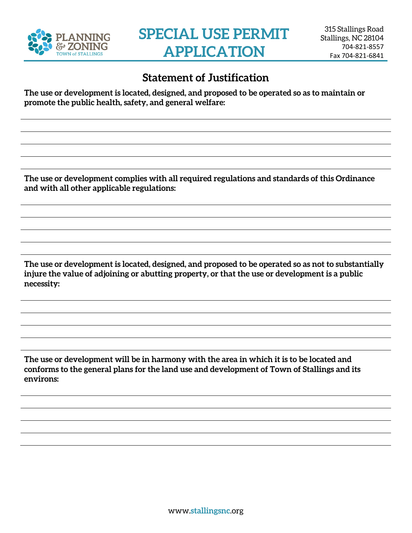

## **Statement of Justification**

**The use or development is located, designed, and proposed to be operated so as to maintain or promote the public health, safety, and general welfare:**

**The use or development complies with all required regulations and standards of this Ordinance and with all other applicable regulations:**

**The use or development is located, designed, and proposed to be operated so as not to substantially injure the value of adjoining or abutting property, or that the use or development is a public necessity:**

**The use or development will be in harmony with the area in which it is to be located and conforms to the general plans for the land use and development of Town of Stallings and its environs:**